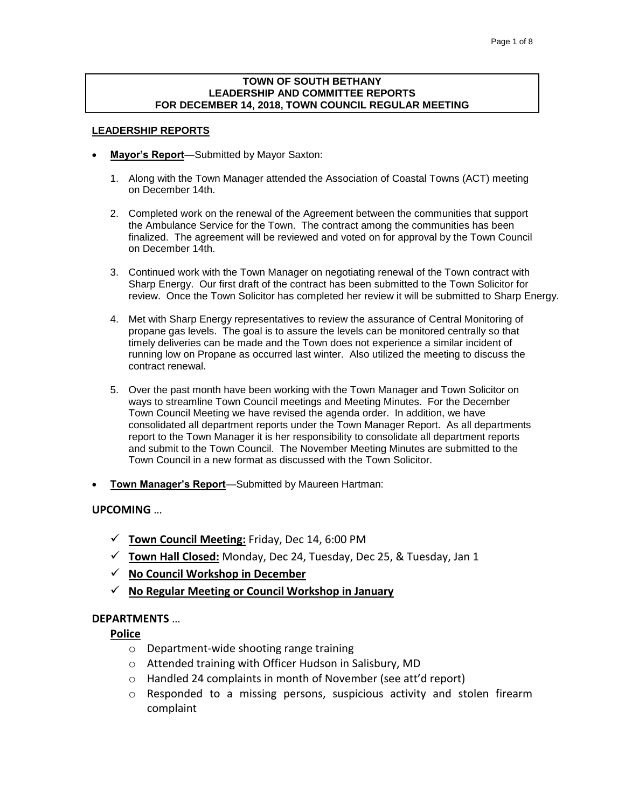## **TOWN OF SOUTH BETHANY LEADERSHIP AND COMMITTEE REPORTS FOR DECEMBER 14, 2018, TOWN COUNCIL REGULAR MEETING**

## **LEADERSHIP REPORTS**

- **Mayor's Report**—Submitted by Mayor Saxton:
	- 1. Along with the Town Manager attended the Association of Coastal Towns (ACT) meeting on December 14th.
	- 2. Completed work on the renewal of the Agreement between the communities that support the Ambulance Service for the Town. The contract among the communities has been finalized. The agreement will be reviewed and voted on for approval by the Town Council on December 14th.
	- 3. Continued work with the Town Manager on negotiating renewal of the Town contract with Sharp Energy. Our first draft of the contract has been submitted to the Town Solicitor for review. Once the Town Solicitor has completed her review it will be submitted to Sharp Energy.
	- 4. Met with Sharp Energy representatives to review the assurance of Central Monitoring of propane gas levels. The goal is to assure the levels can be monitored centrally so that timely deliveries can be made and the Town does not experience a similar incident of running low on Propane as occurred last winter. Also utilized the meeting to discuss the contract renewal.
	- 5. Over the past month have been working with the Town Manager and Town Solicitor on ways to streamline Town Council meetings and Meeting Minutes. For the December Town Council Meeting we have revised the agenda order. In addition, we have consolidated all department reports under the Town Manager Report. As all departments report to the Town Manager it is her responsibility to consolidate all department reports and submit to the Town Council. The November Meeting Minutes are submitted to the Town Council in a new format as discussed with the Town Solicitor.
- **Town Manager's Report**—Submitted by Maureen Hartman:

**UPCOMING** …

- ✓ **Town Council Meeting:** Friday, Dec 14, 6:00 PM
- ✓ **Town Hall Closed:** Monday, Dec 24, Tuesday, Dec 25, & Tuesday, Jan 1
- ✓ **No Council Workshop in December**
- ✓ **No Regular Meeting or Council Workshop in January**

## **DEPARTMENTS** …

**Police**

- o Department-wide shooting range training
- o Attended training with Officer Hudson in Salisbury, MD
- o Handled 24 complaints in month of November (see att'd report)
- o Responded to a missing persons, suspicious activity and stolen firearm complaint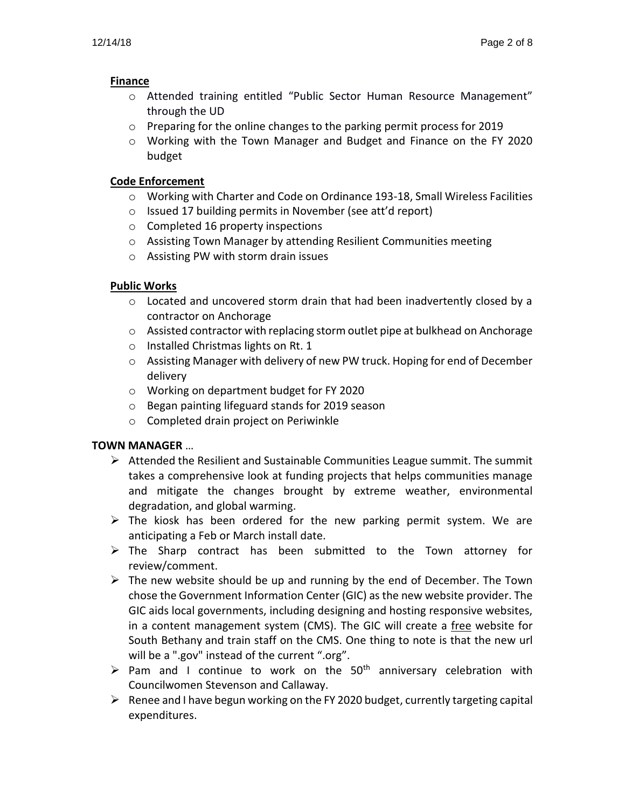# **Finance**

- o Attended training entitled "Public Sector Human Resource Management" through the UD
- $\circ$  Preparing for the online changes to the parking permit process for 2019
- o Working with the Town Manager and Budget and Finance on the FY 2020 budget

# **Code Enforcement**

- o Working with Charter and Code on Ordinance 193-18, Small Wireless Facilities
- o Issued 17 building permits in November (see att'd report)
- o Completed 16 property inspections
- o Assisting Town Manager by attending Resilient Communities meeting
- o Assisting PW with storm drain issues

# **Public Works**

- $\circ$  Located and uncovered storm drain that had been inadvertently closed by a contractor on Anchorage
- $\circ$  Assisted contractor with replacing storm outlet pipe at bulkhead on Anchorage
- o Installed Christmas lights on Rt. 1
- $\circ$  Assisting Manager with delivery of new PW truck. Hoping for end of December delivery
- o Working on department budget for FY 2020
- o Began painting lifeguard stands for 2019 season
- o Completed drain project on Periwinkle

# **TOWN MANAGER** …

- $\triangleright$  Attended the Resilient and Sustainable Communities League summit. The summit takes a comprehensive look at funding projects that helps communities manage and mitigate the changes brought by extreme weather, environmental degradation, and global warming.
- $\triangleright$  The kiosk has been ordered for the new parking permit system. We are anticipating a Feb or March install date.
- ➢ The Sharp contract has been submitted to the Town attorney for review/comment.
- $\triangleright$  The new website should be up and running by the end of December. The Town chose the Government Information Center (GIC) as the new website provider. The GIC aids local governments, including designing and hosting responsive websites, in a content management system (CMS). The GIC will create a free website for South Bethany and train staff on the CMS. One thing to note is that the new url will be a ".gov" instead of the current ".org".
- $\triangleright$  Pam and I continue to work on the 50<sup>th</sup> anniversary celebration with Councilwomen Stevenson and Callaway.
- $\triangleright$  Renee and I have begun working on the FY 2020 budget, currently targeting capital expenditures.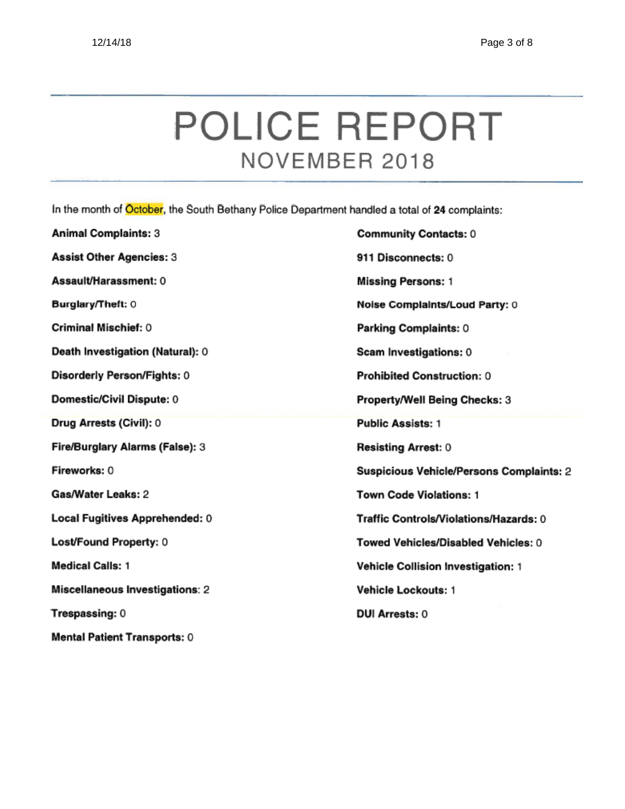# POLICE REPORT NOVEMBER 2018

In the month of October, the South Bethany Police Department handled a total of 24 complaints:

| <b>Animal Complaints: 3</b>            | <b>Community Contacts: 0</b>              |
|----------------------------------------|-------------------------------------------|
| <b>Assist Other Agencies: 3</b>        | 911 Disconnects: 0                        |
| Assault/Harassment: 0                  | <b>Missing Persons: 1</b>                 |
| Burglary/Theft: 0                      | Noise Complaints/Loud Party: 0            |
| Criminal Mischief: 0                   | Parking Complaints: 0                     |
| Death Investigation (Natural): 0       | Scam Investigations: 0                    |
| Disorderly Person/Fights: 0            | <b>Prohibited Construction: 0</b>         |
| Domestic/Civil Dispute: 0              | Property/Well Being Checks: 3             |
| Drug Arrests (Civil): 0                | <b>Public Assists: 1</b>                  |
| Fire/Burglary Alarms (False): 3        | <b>Resisting Arrest: 0</b>                |
| Fireworks: 0                           | Suspicious Vehicle/Persons Complaints: 2  |
| Gas/Water Leaks: 2                     | <b>Town Code Violations: 1</b>            |
| Local Fugitives Apprehended: 0         | Traffic Controls/Violations/Hazards: 0    |
| Lost/Found Property: 0                 | Towed Vehicles/Disabled Vehicles: 0       |
| <b>Medical Calls: 1</b>                | <b>Vehicle Collision Investigation: 1</b> |
| <b>Miscellaneous Investigations: 2</b> | <b>Vehicle Lockouts: 1</b>                |
|                                        |                                           |
| Trespassing: 0                         | <b>DUI Arrests: 0</b>                     |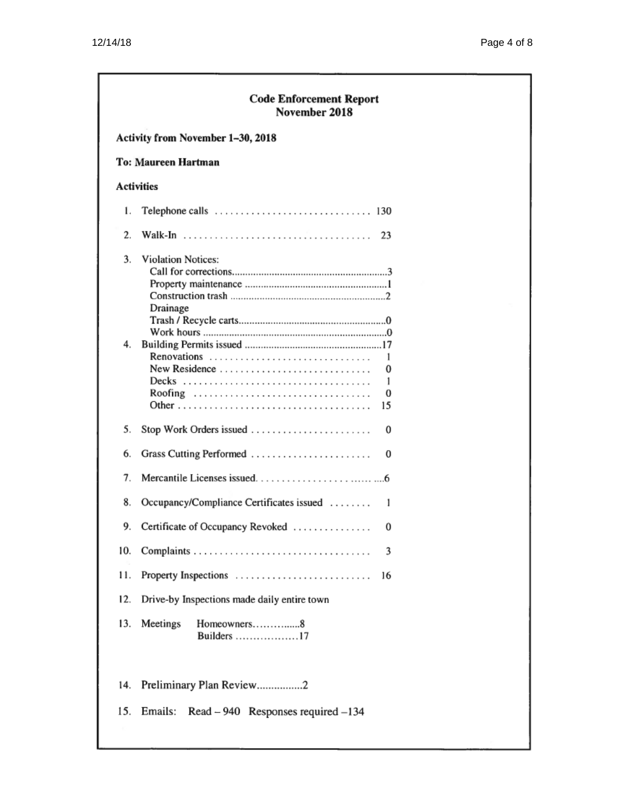| <b>Code Enforcement Report</b><br>November 2018 |                                                    |  |  |  |  |  |  |  |  |
|-------------------------------------------------|----------------------------------------------------|--|--|--|--|--|--|--|--|
|                                                 | Activity from November 1-30, 2018                  |  |  |  |  |  |  |  |  |
|                                                 | To: Maureen Hartman                                |  |  |  |  |  |  |  |  |
|                                                 | <b>Activities</b>                                  |  |  |  |  |  |  |  |  |
| ı.                                              |                                                    |  |  |  |  |  |  |  |  |
| 2.                                              | 23                                                 |  |  |  |  |  |  |  |  |
| 3.                                              | <b>Violation Notices:</b><br>Drainage              |  |  |  |  |  |  |  |  |
| 4.                                              | 1<br>New Residence<br>0<br>1<br>Roofing<br>0<br>15 |  |  |  |  |  |  |  |  |
| 5.                                              | Stop Work Orders issued<br>0                       |  |  |  |  |  |  |  |  |
| 6.                                              | Grass Cutting Performed<br>0                       |  |  |  |  |  |  |  |  |
| 7.                                              |                                                    |  |  |  |  |  |  |  |  |
| 8.                                              | Occupancy/Compliance Certificates issued<br>1      |  |  |  |  |  |  |  |  |
| 9.                                              | Certificate of Occupancy Revoked<br>0              |  |  |  |  |  |  |  |  |
| 10.                                             | 3                                                  |  |  |  |  |  |  |  |  |
| 11.                                             | Property Inspections<br>16                         |  |  |  |  |  |  |  |  |
| 12.                                             | Drive-by Inspections made daily entire town        |  |  |  |  |  |  |  |  |
| 13.                                             | Meetings<br>Homeowners8<br>Builders 17             |  |  |  |  |  |  |  |  |
| 14.                                             | Preliminary Plan Review2                           |  |  |  |  |  |  |  |  |
| 15.                                             | Emails:<br>$Read - 940$ Responses required $-134$  |  |  |  |  |  |  |  |  |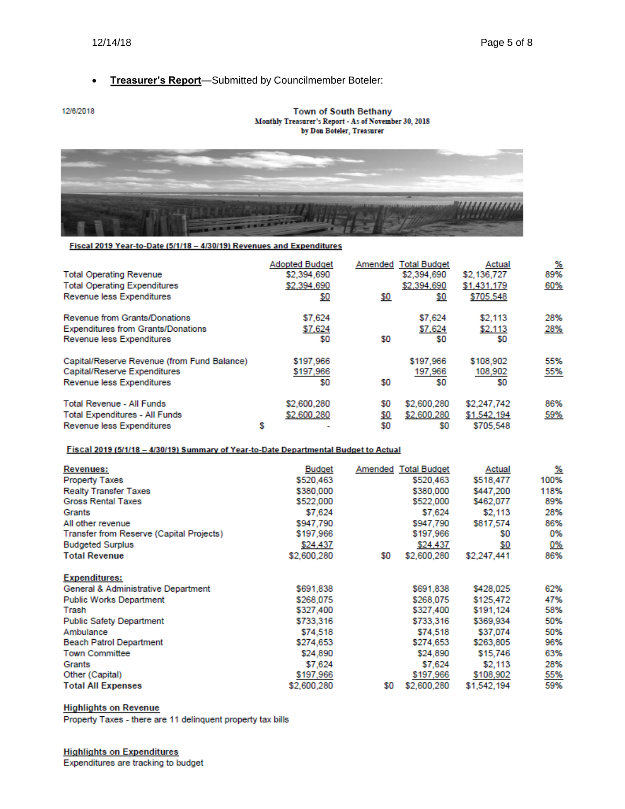# • **Treasurer's Report**—Submitted by Councilmember Boteler:

#### 12/6/2018

#### Town of South Bethany Monthly Treasurer's Report - As of November 30, 2018 by Don Boteler, Treasurer



#### Fiscal 2019 Year-to-Date (5/1/18 - 4/30/19) Revenues and Expenditures

| <b>Total Operating Revenue</b><br><b>Total Operating Expenditures</b><br>Revenue less Expenditures       |   | <b>Adopted Budget</b><br>\$2,394,690<br>\$2,394,690<br>\$0 | Amended<br>\$0    | <b>Total Budget</b><br>\$2,394,690<br>\$2,394,690<br>\$0 | Actual<br>\$2,136,727<br>\$1,431,179<br>\$705,548 | %<br>89%<br>60% |
|----------------------------------------------------------------------------------------------------------|---|------------------------------------------------------------|-------------------|----------------------------------------------------------|---------------------------------------------------|-----------------|
| Revenue from Grants/Donations                                                                            |   | \$7,624                                                    |                   | \$7,624                                                  | \$2,113                                           | 28%             |
| <b>Expenditures from Grants/Donations</b><br>Revenue less Expenditures                                   |   | \$7,624<br>\$0                                             | \$0               | \$7,624<br>S0                                            | \$2,113<br>SO.                                    | 28%             |
| Capital/Reserve Revenue (from Fund Balance)<br>Capital/Reserve Expenditures<br>Revenue less Expenditures |   | \$197,966<br>\$197,966<br>\$0                              | \$0               | \$197,966<br>197,966<br>SO.                              | \$108,902<br>108,902<br>SO.                       | 55%<br>55%      |
| <b>Total Revenue - All Funds</b><br>Total Expenditures - All Funds<br>Revenue less Expenditures          | s | \$2,600,280<br>\$2,600,280                                 | \$0<br>\$0<br>\$0 | \$2,600,280<br>\$2,600,280<br>S0                         | \$2,247,742<br>\$1,542,194<br>\$705.548           | 86%<br>59%      |

## Fiscal 2019 (5/1/18 - 4/30/19) Summary of Year-to-Date Departmental Budget to Actual

| Revenues:                                | <b>Budget</b> |     | Amended Total Budget | Actual      | %         |
|------------------------------------------|---------------|-----|----------------------|-------------|-----------|
| <b>Property Taxes</b>                    | \$520,463     |     | \$520,463            | \$518,477   | 100%      |
| <b>Realty Transfer Taxes</b>             | \$380,000     |     | \$380,000            | \$447.200   | 118%      |
| <b>Gross Rental Taxes</b>                | \$522,000     |     | \$522,000            | \$462,077   | 89%       |
| Grants                                   | \$7,624       |     | \$7,624              | \$2,113     | 28%       |
| All other revenue                        | \$947,790     |     | \$947,790            | \$817,574   | 86%       |
| Transfer from Reserve (Capital Projects) | \$197,966     |     | \$197,966            | SO.         | 0%        |
| <b>Budgeted Surplus</b>                  | \$24,437      |     | \$24,437             | Ş0          | <u>0%</u> |
| <b>Total Revenue</b>                     | \$2,600,280   | \$0 | \$2,600,280          | \$2,247,441 | 86%       |
| <b>Expenditures:</b>                     |               |     |                      |             |           |
| General & Administrative Department      | \$691,838     |     | \$691,838            | \$428,025   | 62%       |
| <b>Public Works Department</b>           | \$268,075     |     | \$268,075            | \$125,472   | 47%       |
| Trash                                    | \$327,400     |     | \$327,400            | \$191,124   | 58%       |
| <b>Public Safety Department</b>          | \$733,316     |     | \$733,316            | \$369,934   | 50%       |
| Ambulance                                | \$74,518      |     | \$74,518             | \$37.074    | 50%       |
| <b>Beach Patrol Department</b>           | \$274,653     |     | \$274,653            | \$263,805   | 96%       |
| <b>Town Committee</b>                    | \$24,890      |     | \$24,890             | \$15,746    | 63%       |
| Grants                                   | \$7,624       |     | \$7,624              | \$2,113     | 28%       |
| Other (Capital)                          | \$197,966     |     | \$197,966            | \$108,902   | 55%       |
| <b>Total All Expenses</b>                | \$2,600,280   | \$0 | \$2,600,280          | \$1.542.194 | 59%       |

# **Highlights on Revenue**

Property Taxes - there are 11 delinquent property tax bills

#### **Highlights on Expenditures**

Expenditures are tracking to budget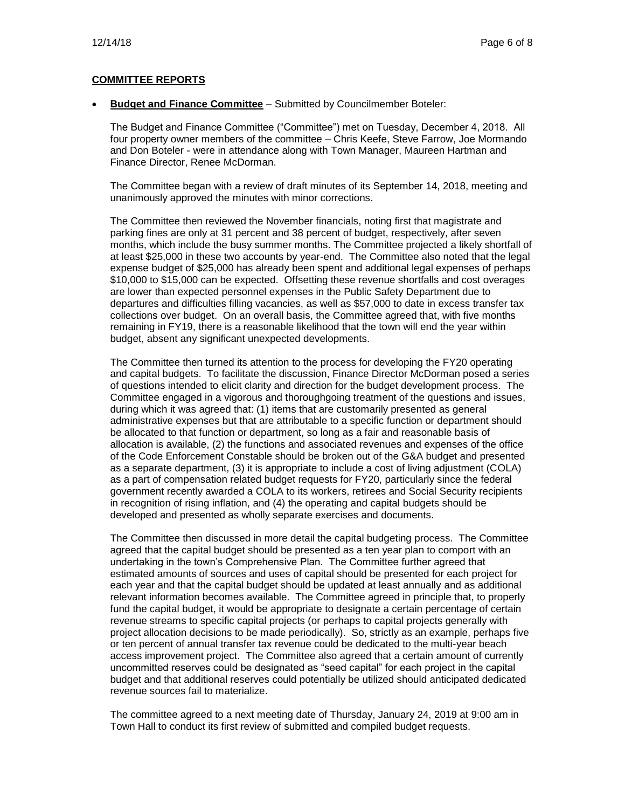# **COMMITTEE REPORTS**

• **Budget and Finance Committee** – Submitted by Councilmember Boteler:

The Budget and Finance Committee ("Committee") met on Tuesday, December 4, 2018. All four property owner members of the committee – Chris Keefe, Steve Farrow, Joe Mormando and Don Boteler - were in attendance along with Town Manager, Maureen Hartman and Finance Director, Renee McDorman.

The Committee began with a review of draft minutes of its September 14, 2018, meeting and unanimously approved the minutes with minor corrections.

The Committee then reviewed the November financials, noting first that magistrate and parking fines are only at 31 percent and 38 percent of budget, respectively, after seven months, which include the busy summer months. The Committee projected a likely shortfall of at least \$25,000 in these two accounts by year-end. The Committee also noted that the legal expense budget of \$25,000 has already been spent and additional legal expenses of perhaps \$10,000 to \$15,000 can be expected. Offsetting these revenue shortfalls and cost overages are lower than expected personnel expenses in the Public Safety Department due to departures and difficulties filling vacancies, as well as \$57,000 to date in excess transfer tax collections over budget. On an overall basis, the Committee agreed that, with five months remaining in FY19, there is a reasonable likelihood that the town will end the year within budget, absent any significant unexpected developments.

The Committee then turned its attention to the process for developing the FY20 operating and capital budgets. To facilitate the discussion, Finance Director McDorman posed a series of questions intended to elicit clarity and direction for the budget development process. The Committee engaged in a vigorous and thoroughgoing treatment of the questions and issues, during which it was agreed that: (1) items that are customarily presented as general administrative expenses but that are attributable to a specific function or department should be allocated to that function or department, so long as a fair and reasonable basis of allocation is available, (2) the functions and associated revenues and expenses of the office of the Code Enforcement Constable should be broken out of the G&A budget and presented as a separate department, (3) it is appropriate to include a cost of living adjustment (COLA) as a part of compensation related budget requests for FY20, particularly since the federal government recently awarded a COLA to its workers, retirees and Social Security recipients in recognition of rising inflation, and (4) the operating and capital budgets should be developed and presented as wholly separate exercises and documents.

The Committee then discussed in more detail the capital budgeting process. The Committee agreed that the capital budget should be presented as a ten year plan to comport with an undertaking in the town's Comprehensive Plan. The Committee further agreed that estimated amounts of sources and uses of capital should be presented for each project for each year and that the capital budget should be updated at least annually and as additional relevant information becomes available. The Committee agreed in principle that, to properly fund the capital budget, it would be appropriate to designate a certain percentage of certain revenue streams to specific capital projects (or perhaps to capital projects generally with project allocation decisions to be made periodically). So, strictly as an example, perhaps five or ten percent of annual transfer tax revenue could be dedicated to the multi-year beach access improvement project. The Committee also agreed that a certain amount of currently uncommitted reserves could be designated as "seed capital" for each project in the capital budget and that additional reserves could potentially be utilized should anticipated dedicated revenue sources fail to materialize.

The committee agreed to a next meeting date of Thursday, January 24, 2019 at 9:00 am in Town Hall to conduct its first review of submitted and compiled budget requests.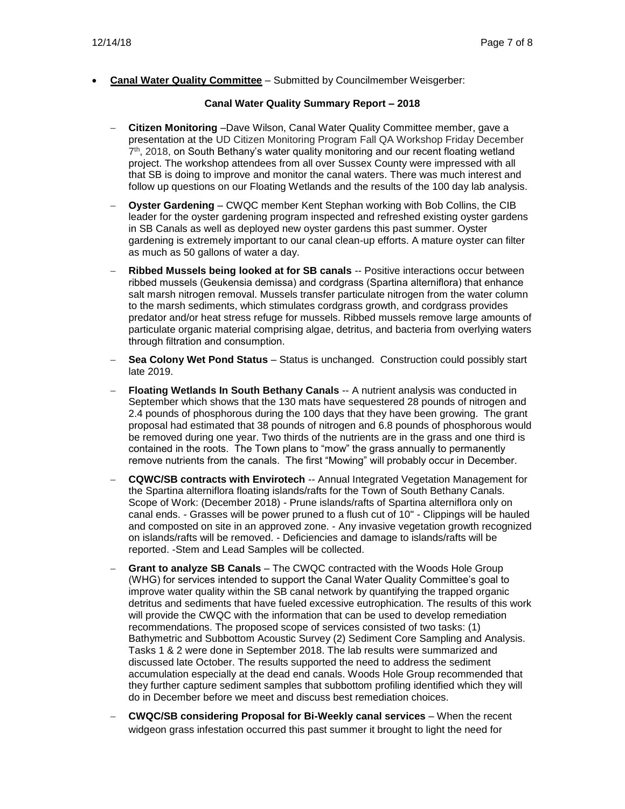• **Canal Water Quality Committee** – Submitted by Councilmember Weisgerber:

# **Canal Water Quality Summary Report – 2018**

- − **Citizen Monitoring** –Dave Wilson, Canal Water Quality Committee member, gave a presentation at the UD Citizen Monitoring Program Fall QA Workshop Friday December  $7<sup>th</sup>$ , 2018, on South Bethany's water quality monitoring and our recent floating wetland project. The workshop attendees from all over Sussex County were impressed with all that SB is doing to improve and monitor the canal waters. There was much interest and follow up questions on our Floating Wetlands and the results of the 100 day lab analysis.
- − **Oyster Gardening** CWQC member Kent Stephan working with Bob Collins, the CIB leader for the oyster gardening program inspected and refreshed existing oyster gardens in SB Canals as well as deployed new oyster gardens this past summer. Oyster gardening is extremely important to our canal clean-up efforts. A mature oyster can filter as much as 50 gallons of water a day.
- − **Ribbed Mussels being looked at for SB canals** -- Positive interactions occur between ribbed mussels (Geukensia demissa) and cordgrass (Spartina alterniflora) that enhance salt marsh nitrogen removal. Mussels transfer particulate nitrogen from the water column to the marsh sediments, which stimulates cordgrass growth, and cordgrass provides predator and/or heat stress refuge for mussels. Ribbed mussels remove large amounts of particulate organic material comprising algae, detritus, and bacteria from overlying waters through filtration and consumption.
- − **Sea Colony Wet Pond Status** Status is unchanged. Construction could possibly start late 2019.
- − **Floating Wetlands In South Bethany Canals** -- A nutrient analysis was conducted in September which shows that the 130 mats have sequestered 28 pounds of nitrogen and 2.4 pounds of phosphorous during the 100 days that they have been growing. The grant proposal had estimated that 38 pounds of nitrogen and 6.8 pounds of phosphorous would be removed during one year. Two thirds of the nutrients are in the grass and one third is contained in the roots. The Town plans to "mow" the grass annually to permanently remove nutrients from the canals. The first "Mowing" will probably occur in December.
- − **CQWC/SB contracts with Envirotech** -- Annual Integrated Vegetation Management for the Spartina alterniflora floating islands/rafts for the Town of South Bethany Canals. Scope of Work: (December 2018) - Prune islands/rafts of Spartina alterniflora only on canal ends. - Grasses will be power pruned to a flush cut of 10" - Clippings will be hauled and composted on site in an approved zone. - Any invasive vegetation growth recognized on islands/rafts will be removed. - Deficiencies and damage to islands/rafts will be reported. -Stem and Lead Samples will be collected.
- Grant to analyze SB Canals The CWQC contracted with the Woods Hole Group (WHG) for services intended to support the Canal Water Quality Committee's goal to improve water quality within the SB canal network by quantifying the trapped organic detritus and sediments that have fueled excessive eutrophication. The results of this work will provide the CWQC with the information that can be used to develop remediation recommendations. The proposed scope of services consisted of two tasks: (1) Bathymetric and Subbottom Acoustic Survey (2) Sediment Core Sampling and Analysis. Tasks 1 & 2 were done in September 2018. The lab results were summarized and discussed late October. The results supported the need to address the sediment accumulation especially at the dead end canals. Woods Hole Group recommended that they further capture sediment samples that subbottom profiling identified which they will do in December before we meet and discuss best remediation choices.
- − **CWQC/SB considering Proposal for Bi-Weekly canal services** When the recent widgeon grass infestation occurred this past summer it brought to light the need for